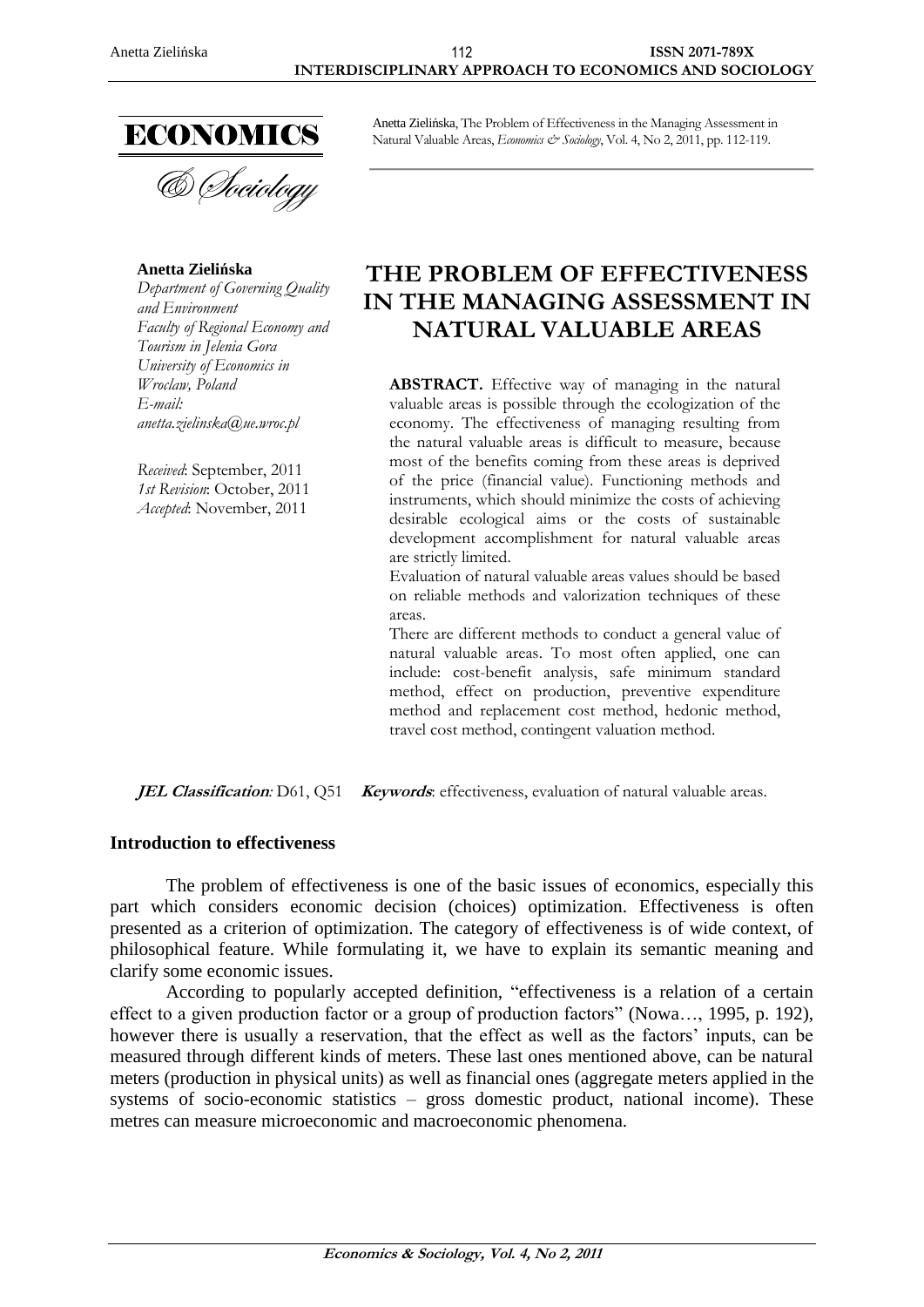

& Sociology

### **Anetta Zielińska**

*Department of Governing Quality and Environment Faculty of Regional Economy and Tourism in Jelenia Gora University of Economics in Wroclaw, Poland E-mail: anetta.zielinska@ue.wroc.pl*

*Received*: September, 2011 *1st Revision*: October, 2011 *Accepted*: November, 2011

Anetta Zielińska, The Problem of Effectiveness in the Managing Assessment in Natural Valuable Areas, *Economics & Sociology*, Vol. 4, No 2, 2011, pp. 112-119.

# **THE PROBLEM OF EFFECTIVENESS IN THE MANAGING ASSESSMENT IN NATURAL VALUABLE AREAS**

ABSTRACT. Effective way of managing in the natural valuable areas is possible through the ecologization of the economy. The effectiveness of managing resulting from the natural valuable areas is difficult to measure, because most of the benefits coming from these areas is deprived of the price (financial value). Functioning methods and instruments, which should minimize the costs of achieving desirable ecological aims or the costs of sustainable development accomplishment for natural valuable areas are strictly limited.

Evaluation of natural valuable areas values should be based on reliable methods and valorization techniques of these areas.

There are different methods to conduct a general value of natural valuable areas. To most often applied, one can include: cost-benefit analysis, safe minimum standard method, effect on production, preventive expenditure method and replacement cost method, hedonic method, travel cost method, contingent valuation method.

**JEL Classification**: D61, Q51 *Keywords*: effectiveness, evaluation of natural valuable areas.

#### **Introduction to effectiveness**

The problem of effectiveness is one of the basic issues of economics, especially this part which considers economic decision (choices) optimization. Effectiveness is often presented as a criterion of optimization. The category of effectiveness is of wide context, of philosophical feature. While formulating it, we have to explain its semantic meaning and clarify some economic issues.

According to popularly accepted definition, "effectiveness is a relation of a certain effect to a given production factor or a group of production factors" (Nowa…, 1995, p. 192), however there is usually a reservation, that the effect as well as the factors' inputs, can be measured through different kinds of meters. These last ones mentioned above, can be natural meters (production in physical units) as well as financial ones (aggregate meters applied in the systems of socio-economic statistics – gross domestic product, national income). These metres can measure microeconomic and macroeconomic phenomena.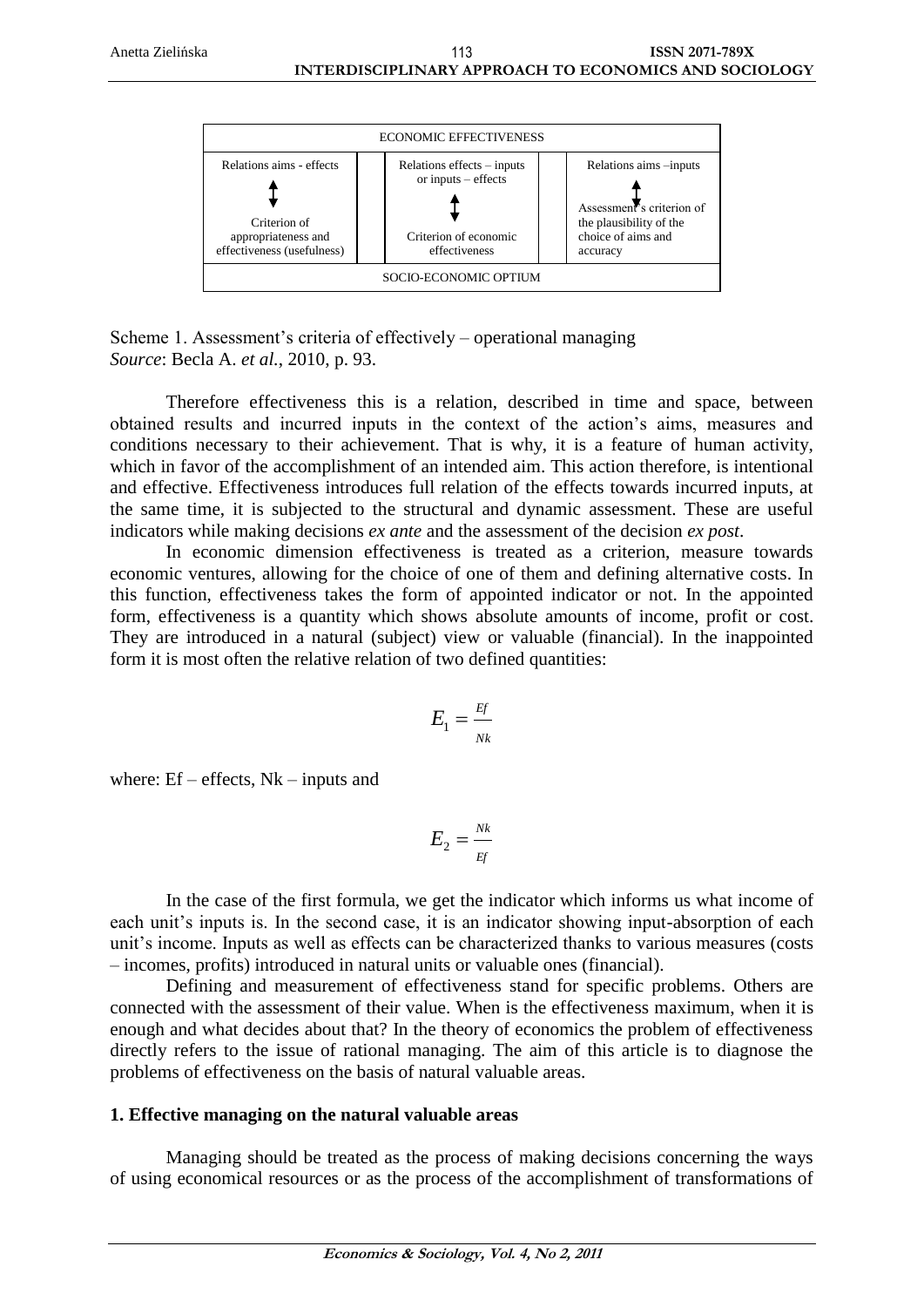

Scheme 1. Assessment's criteria of effectively – operational managing *Source*: Becla A. *et al.*, 2010, p. 93.

Therefore effectiveness this is a relation, described in time and space, between obtained results and incurred inputs in the context of the action's aims, measures and conditions necessary to their achievement. That is why, it is a feature of human activity, which in favor of the accomplishment of an intended aim. This action therefore, is intentional and effective. Effectiveness introduces full relation of the effects towards incurred inputs, at the same time, it is subjected to the structural and dynamic assessment. These are useful indicators while making decisions *ex ante* and the assessment of the decision *ex post*.

In economic dimension effectiveness is treated as a criterion, measure towards economic ventures, allowing for the choice of one of them and defining alternative costs. In this function, effectiveness takes the form of appointed indicator or not. In the appointed form, effectiveness is a quantity which shows absolute amounts of income, profit or cost. They are introduced in a natural (subject) view or valuable (financial). In the inappointed form it is most often the relative relation of two defined quantities:

$$
E_1 = \frac{Ef}{Nk}
$$

where:  $Ef$  – effects,  $Nk$  – inputs and

$$
E_2 = \frac{Nk}{E} \frac{E}{E}
$$

In the case of the first formula, we get the indicator which informs us what income of each unit's inputs is. In the second case, it is an indicator showing input-absorption of each unit's income. Inputs as well as effects can be characterized thanks to various measures (costs – incomes, profits) introduced in natural units or valuable ones (financial).

Defining and measurement of effectiveness stand for specific problems. Others are connected with the assessment of their value. When is the effectiveness maximum, when it is enough and what decides about that? In the theory of economics the problem of effectiveness directly refers to the issue of rational managing. The aim of this article is to diagnose the problems of effectiveness on the basis of natural valuable areas.

#### **1. Effective managing on the natural valuable areas**

Managing should be treated as the process of making decisions concerning the ways of using economical resources or as the process of the accomplishment of transformations of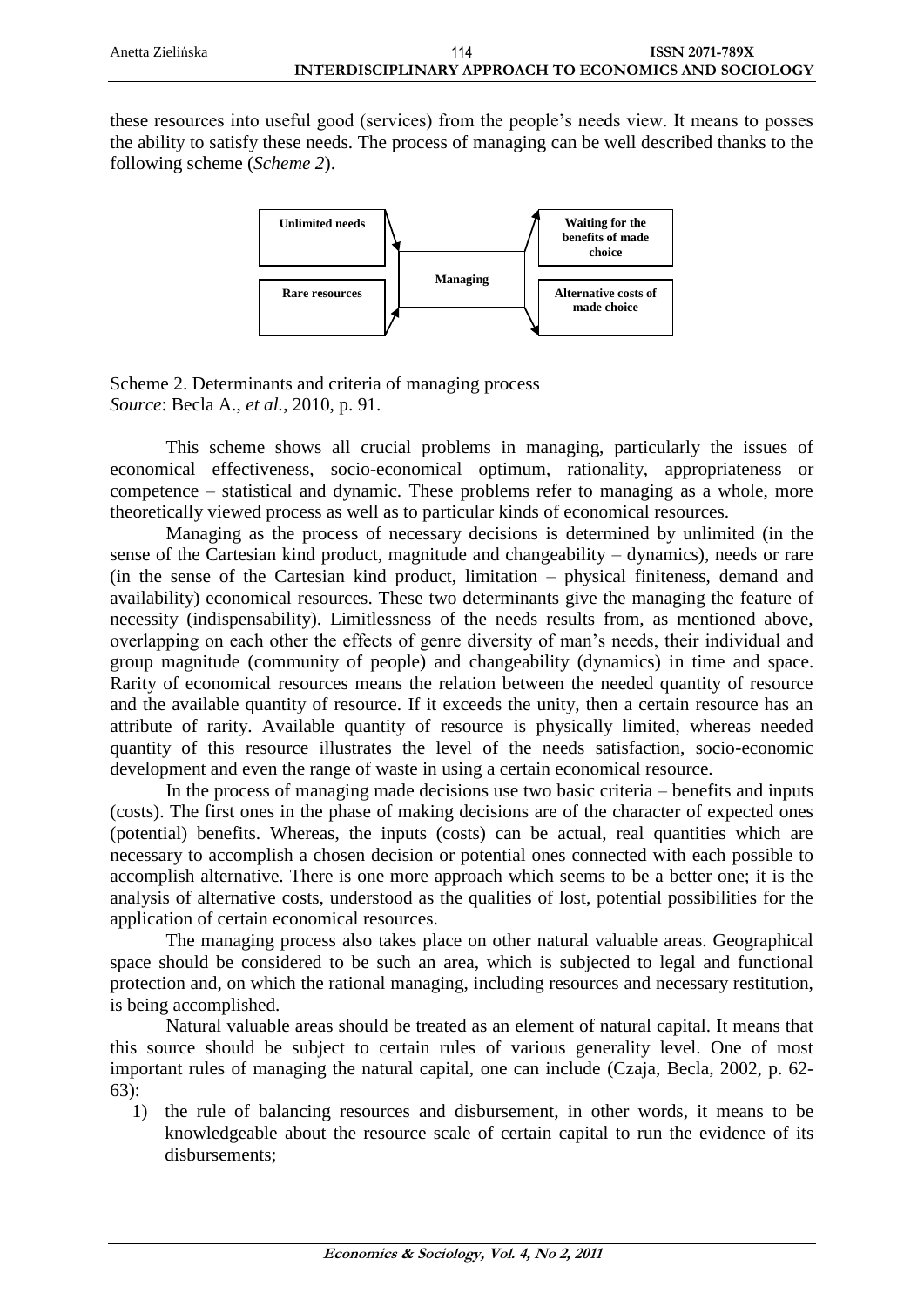these resources into useful good (services) from the people's needs view. It means to posses the ability to satisfy these needs. The process of managing can be well described thanks to the following scheme (*Scheme 2*).



Scheme 2. Determinants and criteria of managing process *Source*: Becla A., *et al.*, 2010, p. 91.

This scheme shows all crucial problems in managing, particularly the issues of economical effectiveness, socio-economical optimum, rationality, appropriateness or competence – statistical and dynamic. These problems refer to managing as a whole, more theoretically viewed process as well as to particular kinds of economical resources.

Managing as the process of necessary decisions is determined by unlimited (in the sense of the Cartesian kind product, magnitude and changeability – dynamics), needs or rare (in the sense of the Cartesian kind product, limitation – physical finiteness, demand and availability) economical resources. These two determinants give the managing the feature of necessity (indispensability). Limitlessness of the needs results from, as mentioned above, overlapping on each other the effects of genre diversity of man's needs, their individual and group magnitude (community of people) and changeability (dynamics) in time and space. Rarity of economical resources means the relation between the needed quantity of resource and the available quantity of resource. If it exceeds the unity, then a certain resource has an attribute of rarity. Available quantity of resource is physically limited, whereas needed quantity of this resource illustrates the level of the needs satisfaction, socio-economic development and even the range of waste in using a certain economical resource.

In the process of managing made decisions use two basic criteria – benefits and inputs (costs). The first ones in the phase of making decisions are of the character of expected ones (potential) benefits. Whereas, the inputs (costs) can be actual, real quantities which are necessary to accomplish a chosen decision or potential ones connected with each possible to accomplish alternative. There is one more approach which seems to be a better one; it is the analysis of alternative costs, understood as the qualities of lost, potential possibilities for the application of certain economical resources.

The managing process also takes place on other natural valuable areas. Geographical space should be considered to be such an area, which is subjected to legal and functional protection and, on which the rational managing, including resources and necessary restitution, is being accomplished.

Natural valuable areas should be treated as an element of natural capital. It means that this source should be subject to certain rules of various generality level. One of most important rules of managing the natural capital, one can include (Czaja, Becla, 2002, p. 62- 63):

1) the rule of balancing resources and disbursement, in other words, it means to be knowledgeable about the resource scale of certain capital to run the evidence of its disbursements;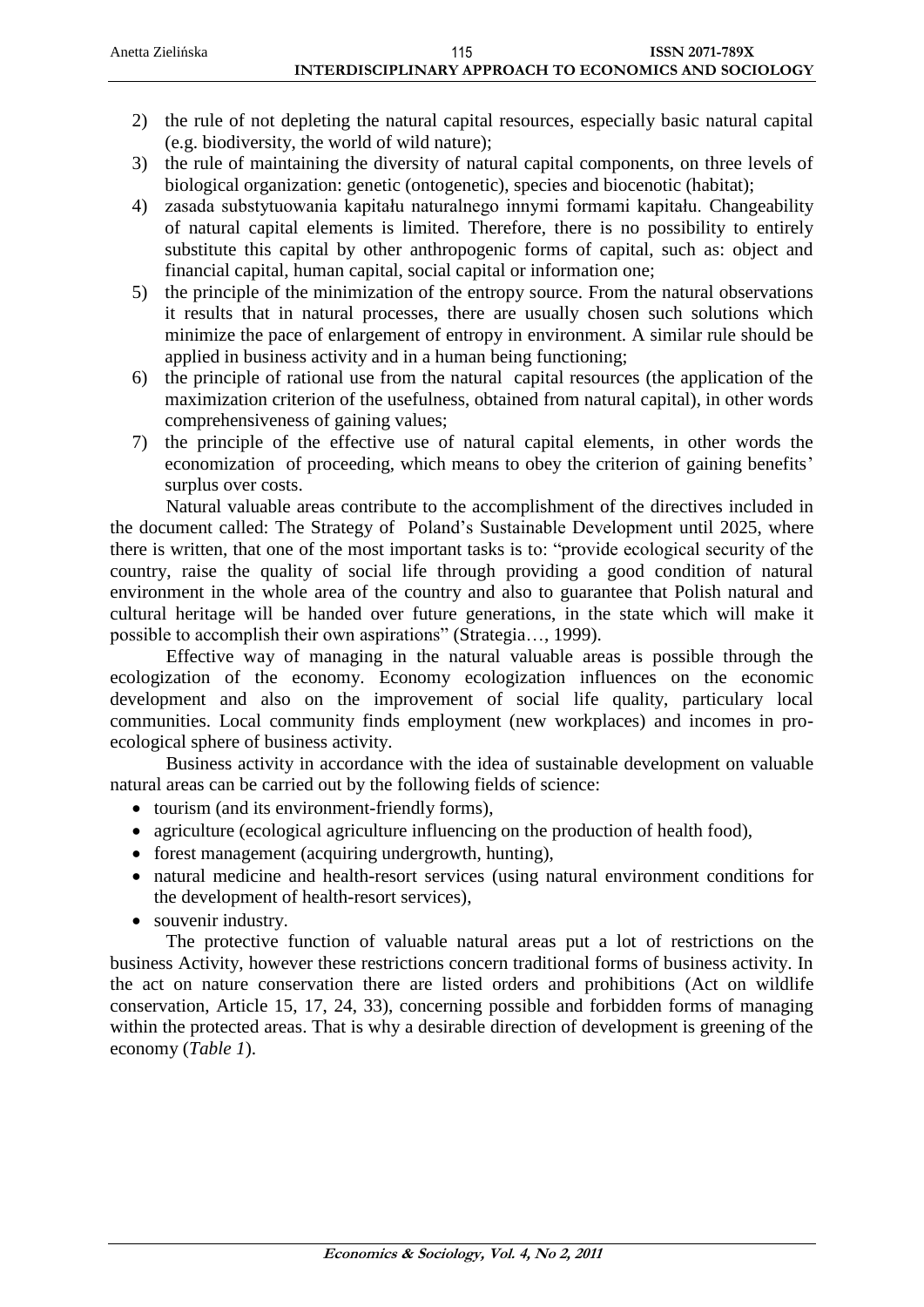- 2) the rule of not depleting the natural capital resources, especially basic natural capital (e.g. biodiversity, the world of wild nature);
- 3) the rule of maintaining the diversity of natural capital components, on three levels of biological organization: genetic (ontogenetic), species and biocenotic (habitat);
- 4) zasada substytuowania kapitału naturalnego innymi formami kapitału. Changeability of natural capital elements is limited. Therefore, there is no possibility to entirely substitute this capital by other anthropogenic forms of capital, such as: object and financial capital, human capital, social capital or information one;
- 5) the principle of the minimization of the entropy source. From the natural observations it results that in natural processes, there are usually chosen such solutions which minimize the pace of enlargement of entropy in environment. A similar rule should be applied in business activity and in a human being functioning;
- 6) the principle of rational use from the natural capital resources (the application of the maximization criterion of the usefulness, obtained from natural capital), in other words comprehensiveness of gaining values;
- 7) the principle of the effective use of natural capital elements, in other words the economization of proceeding, which means to obey the criterion of gaining benefits' surplus over costs.

Natural valuable areas contribute to the accomplishment of the directives included in the document called: The Strategy of Poland's Sustainable Development until 2025, where there is written, that one of the most important tasks is to: "provide ecological security of the country, raise the quality of social life through providing a good condition of natural environment in the whole area of the country and also to guarantee that Polish natural and cultural heritage will be handed over future generations, in the state which will make it possible to accomplish their own aspirations" (Strategia…, 1999).

Effective way of managing in the natural valuable areas is possible through the ecologization of the economy. Economy ecologization influences on the economic development and also on the improvement of social life quality, particulary local communities. Local community finds employment (new workplaces) and incomes in proecological sphere of business activity.

Business activity in accordance with the idea of sustainable development on valuable natural areas can be carried out by the following fields of science:

- tourism (and its environment-friendly forms).
- agriculture (ecological agriculture influencing on the production of health food),
- forest management (acquiring undergrowth, hunting),
- natural medicine and health-resort services (using natural environment conditions for the development of health-resort services),
- souvenir industry.

The protective function of valuable natural areas put a lot of restrictions on the business Activity, however these restrictions concern traditional forms of business activity. In the act on nature conservation there are listed orders and prohibitions (Act on wildlife conservation, Article 15, 17, 24, 33), concerning possible and forbidden forms of managing within the protected areas. That is why a desirable direction of development is greening of the economy (*Table 1*).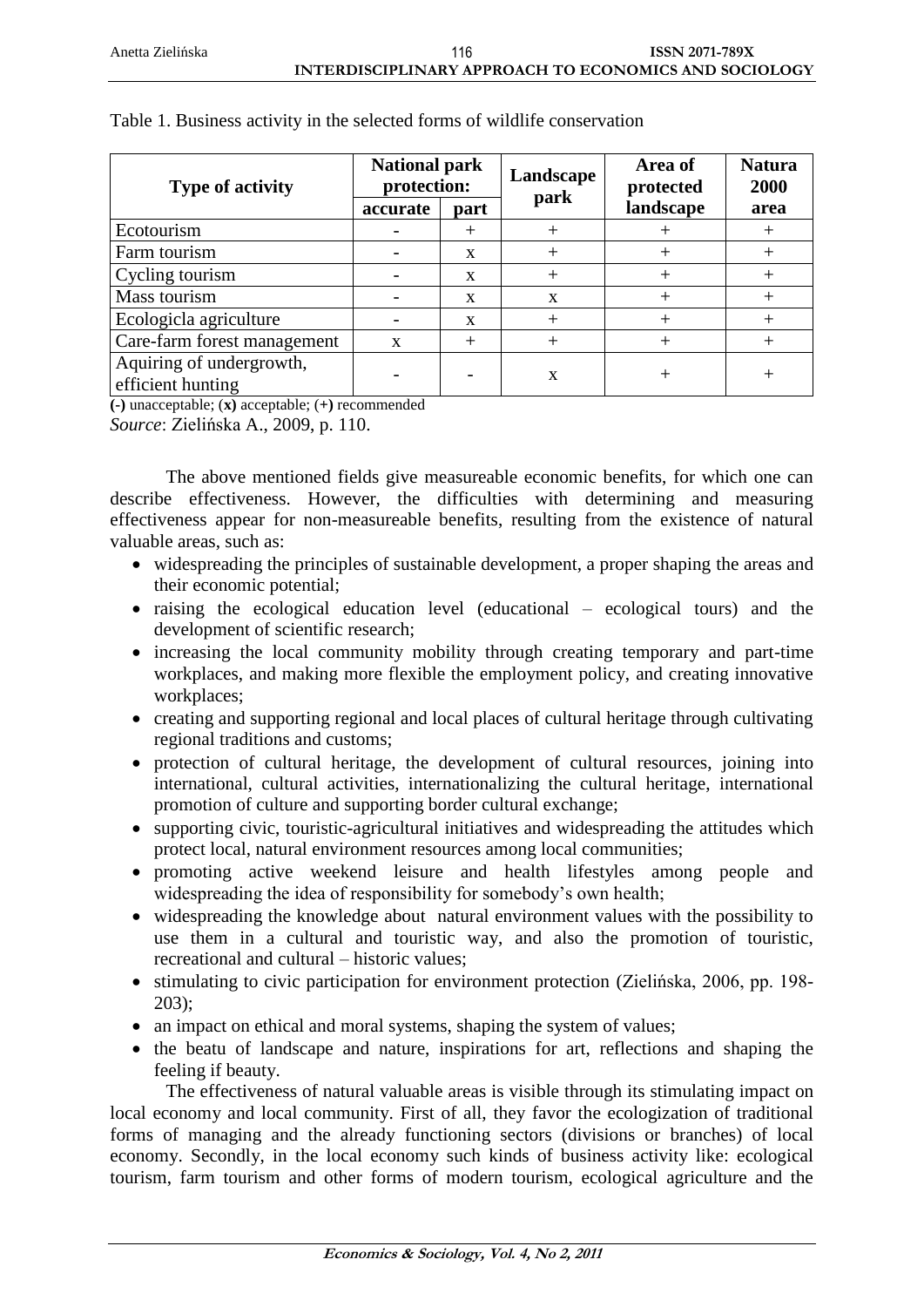| <b>Type of activity</b>                       | <b>National park</b><br>protection: |             | Landscape    | Area of<br>protected | <b>Natura</b><br>2000 |
|-----------------------------------------------|-------------------------------------|-------------|--------------|----------------------|-----------------------|
|                                               | accurate                            | part        | park         | landscape            | area                  |
| Ecotourism                                    |                                     | $^{+}$      |              |                      | $^+$                  |
| Farm tourism                                  |                                     | X           |              |                      |                       |
| Cycling tourism                               |                                     | X           |              |                      |                       |
| Mass tourism                                  |                                     | X           | $\mathbf{x}$ |                      |                       |
| Ecologicla agriculture                        |                                     | $\mathbf x$ |              |                      |                       |
| Care-farm forest management                   | $\mathbf x$                         | $^{+}$      |              |                      |                       |
| Aquiring of undergrowth,<br>efficient hunting |                                     |             | X            |                      |                       |

#### Table 1. Business activity in the selected forms of wildlife conservation

**(-)** unacceptable; (**x)** acceptable; (**+)** recommended

*Source*: Zielińska A., 2009, p. 110.

The above mentioned fields give measureable economic benefits, for which one can describe effectiveness. However, the difficulties with determining and measuring effectiveness appear for non-measureable benefits, resulting from the existence of natural valuable areas, such as:

- widespreading the principles of sustainable development, a proper shaping the areas and their economic potential;
- raising the ecological education level (educational ecological tours) and the development of scientific research;
- increasing the local community mobility through creating temporary and part-time workplaces, and making more flexible the employment policy, and creating innovative workplaces;
- creating and supporting regional and local places of cultural heritage through cultivating regional traditions and customs;
- protection of cultural heritage, the development of cultural resources, joining into international, cultural activities, internationalizing the cultural heritage, international promotion of culture and supporting border cultural exchange;
- supporting civic, touristic-agricultural initiatives and widespreading the attitudes which protect local, natural environment resources among local communities;
- promoting active weekend leisure and health lifestyles among people and widespreading the idea of responsibility for somebody's own health;
- widespreading the knowledge about natural environment values with the possibility to use them in a cultural and touristic way, and also the promotion of touristic, recreational and cultural – historic values;
- stimulating to civic participation for environment protection (Zielińska, 2006, pp. 198-203);
- an impact on ethical and moral systems, shaping the system of values;
- the beatu of landscape and nature, inspirations for art, reflections and shaping the feeling if beauty.

The effectiveness of natural valuable areas is visible through its stimulating impact on local economy and local community. First of all, they favor the ecologization of traditional forms of managing and the already functioning sectors (divisions or branches) of local economy. Secondly, in the local economy such kinds of business activity like: ecological tourism, farm tourism and other forms of modern tourism, ecological agriculture and the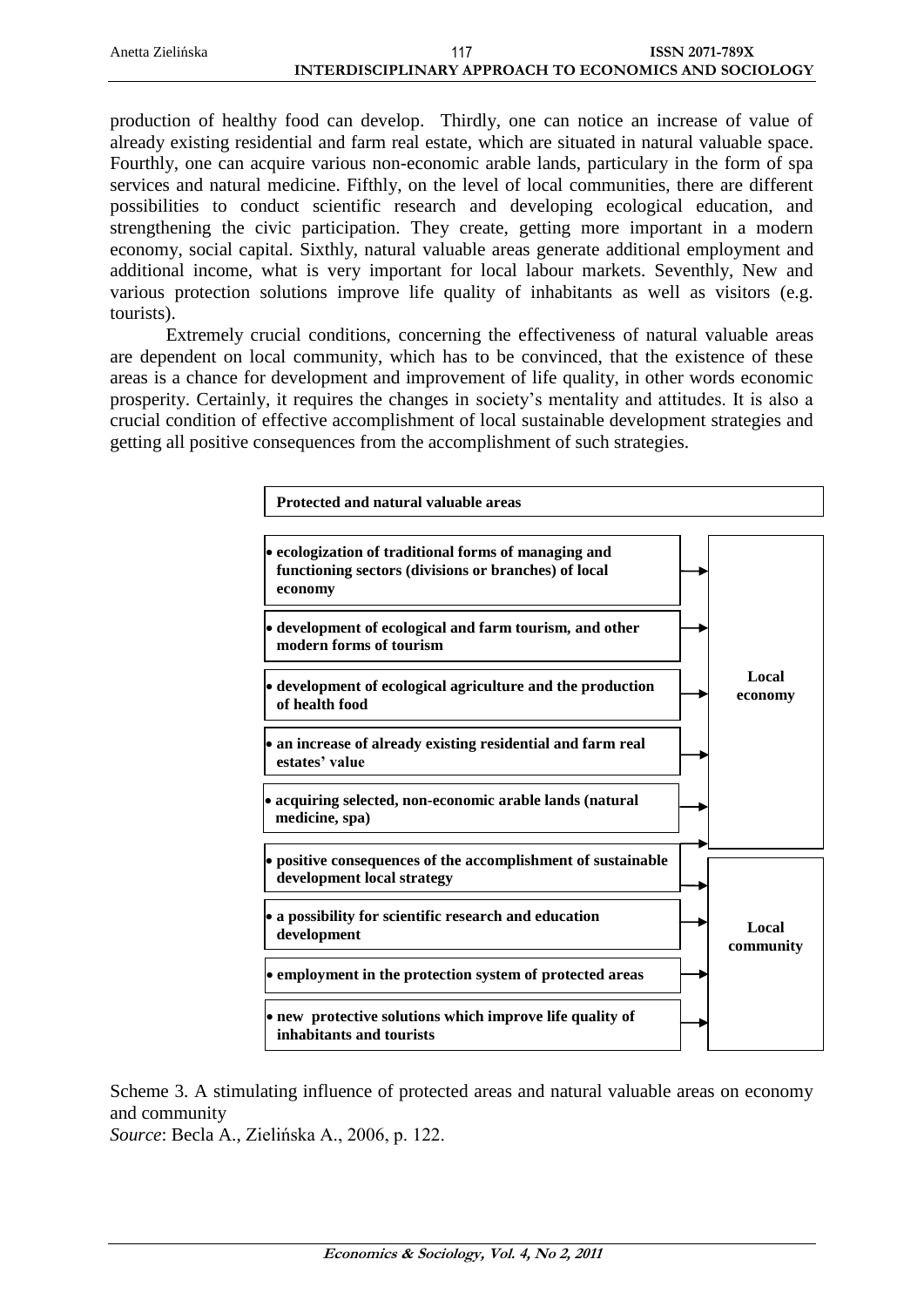production of healthy food can develop. Thirdly, one can notice an increase of value of already existing residential and farm real estate, which are situated in natural valuable space. Fourthly, one can acquire various non-economic arable lands, particulary in the form of spa services and natural medicine. Fifthly, on the level of local communities, there are different possibilities to conduct scientific research and developing ecological education, and strengthening the civic participation. They create, getting more important in a modern economy, social capital. Sixthly, natural valuable areas generate additional employment and additional income, what is very important for local labour markets. Seventhly, New and various protection solutions improve life quality of inhabitants as well as visitors (e.g. tourists).

Extremely crucial conditions, concerning the effectiveness of natural valuable areas are dependent on local community, which has to be convinced, that the existence of these areas is a chance for development and improvement of life quality, in other words economic prosperity. Certainly, it requires the changes in society's mentality and attitudes. It is also a crucial condition of effective accomplishment of local sustainable development strategies and getting all positive consequences from the accomplishment of such strategies.



Scheme 3. A stimulating influence of protected areas and natural valuable areas on economy and community

*Source*: Becla A., Zielińska A., 2006, p. 122.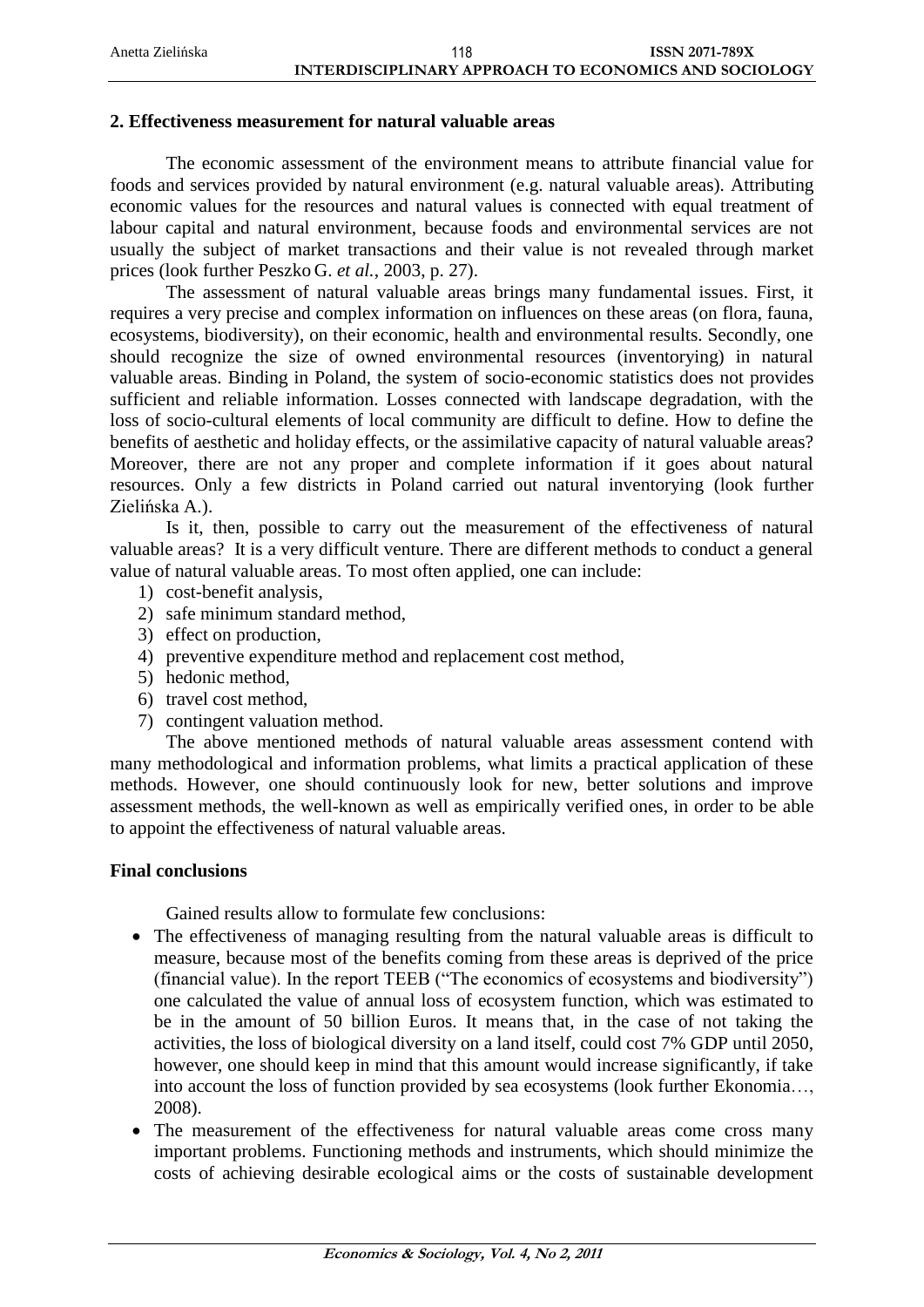#### **2. Effectiveness measurement for natural valuable areas**

The economic assessment of the environment means to attribute financial value for foods and services provided by natural environment (e.g. natural valuable areas). Attributing economic values for the resources and natural values is connected with equal treatment of labour capital and natural environment, because foods and environmental services are not usually the subject of market transactions and their value is not revealed through market prices (look further Peszko G. *et al.*, 2003, p. 27).

The assessment of natural valuable areas brings many fundamental issues. First, it requires a very precise and complex information on influences on these areas (on flora, fauna, ecosystems, biodiversity), on their economic, health and environmental results. Secondly, one should recognize the size of owned environmental resources (inventorying) in natural valuable areas. Binding in Poland, the system of socio-economic statistics does not provides sufficient and reliable information. Losses connected with landscape degradation, with the loss of socio-cultural elements of local community are difficult to define. How to define the benefits of aesthetic and holiday effects, or the assimilative capacity of natural valuable areas? Moreover, there are not any proper and complete information if it goes about natural resources. Only a few districts in Poland carried out natural inventorying (look further Zielińska A.).

Is it, then, possible to carry out the measurement of the effectiveness of natural valuable areas? It is a very difficult venture. There are different methods to conduct a general value of natural valuable areas. To most often applied, one can include:

- 1) cost-benefit analysis,
- 2) safe minimum standard method,
- 3) effect on production,
- 4) preventive expenditure method and replacement cost method,
- 5) hedonic method,
- 6) travel cost method,
- 7) contingent valuation method.

The above mentioned methods of natural valuable areas assessment contend with many methodological and information problems, what limits a practical application of these methods. However, one should continuously look for new, better solutions and improve assessment methods, the well-known as well as empirically verified ones, in order to be able to appoint the effectiveness of natural valuable areas.

#### **Final conclusions**

Gained results allow to formulate few conclusions:

- The effectiveness of managing resulting from the natural valuable areas is difficult to measure, because most of the benefits coming from these areas is deprived of the price (financial value). In the report TEEB ("The economics of ecosystems and biodiversity") one calculated the value of annual loss of ecosystem function, which was estimated to be in the amount of 50 billion Euros. It means that, in the case of not taking the activities, the loss of biological diversity on a land itself, could cost 7% GDP until 2050, however, one should keep in mind that this amount would increase significantly, if take into account the loss of function provided by sea ecosystems (look further Ekonomia…, 2008).
- The measurement of the effectiveness for natural valuable areas come cross many important problems. Functioning methods and instruments, which should minimize the costs of achieving desirable ecological aims or the costs of sustainable development